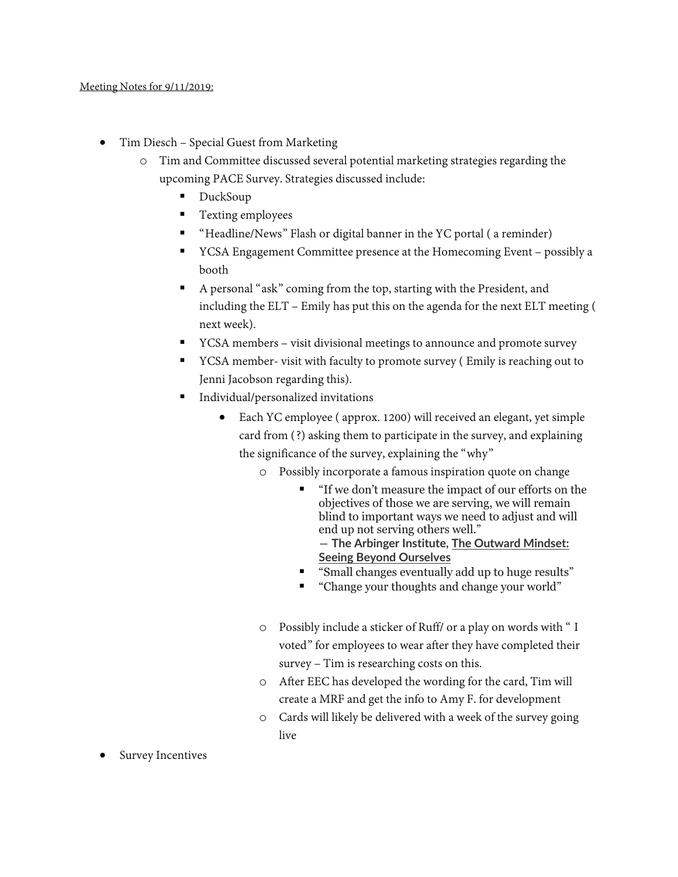- Tim Diesch Special Guest from Marketing
	- o Tim and Committee discussed several potential marketing strategies regarding the upcoming PACE Survey. Strategies discussed include:
		- DuckSoup
		- Texting employees
		- "Headline/News" Flash or digital banner in the YC portal ( a reminder)
		- YCSA Engagement Committee presence at the Homecoming Event possibly a booth
		- A personal "ask" coming from the top, starting with the President, and including the ELT – Emily has put this on the agenda for the next ELT meeting ( next week).
		- YCSA members visit divisional meetings to announce and promote survey
		- YCSA member- visit with faculty to promote survey ( Emily is reaching out to Jenni Jacobson regarding this).
		- Individual/personalized invitations
			- Each YC employee ( approx. 1200) will received an elegant, yet simple card from (?) asking them to participate in the survey, and explaining the significance of the survey, explaining the "why"
				- o Possibly incorporate a famous inspiration quote on change
					- "If we don't measure the impact of our efforts on the objectives of those we are serving, we will remain blind to important ways we need to adjust and will end up not serving others well." ― **The Arbinger Institute, [The Outward Mindset:](https://www.goodreads.com/work/quotes/47985238)  [Seeing Beyond Ourselves](https://www.goodreads.com/work/quotes/47985238)**
					- "Small changes eventually add up to huge results"
					- "Change your thoughts and change your world"
				- o Possibly include a sticker of Ruff/ or a play on words with " I voted" for employees to wear after they have completed their survey – Tim is researching costs on this.
				- o After EEC has developed the wording for the card, Tim will create a MRF and get the info to Amy F. for development
				- o Cards will likely be delivered with a week of the survey going live
- Survey Incentives